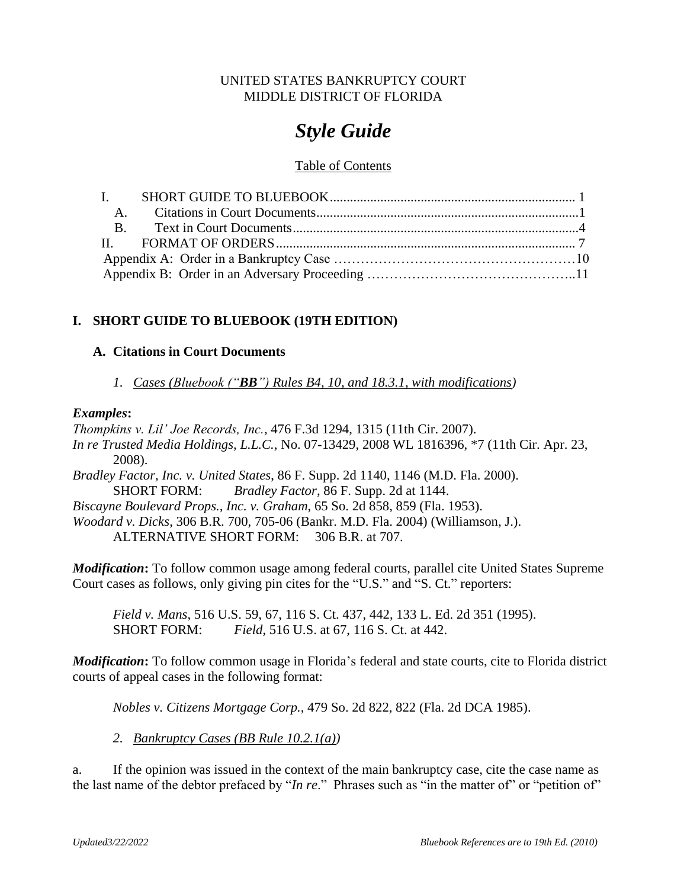# UNITED STATES BANKRUPTCY COURT MIDDLE DISTRICT OF FLORIDA

# *Style Guide*

# Table of Contents

# <span id="page-0-0"></span>**I. SHORT GUIDE TO BLUEBOOK (19TH EDITION)**

# <span id="page-0-1"></span>**A. Citations in Court Documents**

*1. Cases (Bluebook ("BB") Rules B4, 10, and 18.3.1, with modifications)*

# *Examples***:**

*Thompkins v. Lil' Joe Records, Inc.*, 476 F.3d 1294, 1315 (11th Cir. 2007). *In re Trusted Media Holdings, L.L.C.*, No. 07-13429, 2008 WL 1816396, \*7 (11th Cir. Apr. 23, 2008). *Bradley Factor, Inc. v. United States*, 86 F. Supp. 2d 1140, 1146 (M.D. Fla. 2000). SHORT FORM: *Bradley Factor*, 86 F. Supp. 2d at 1144. *Biscayne Boulevard Props., Inc. v. Graham*, 65 So. 2d 858, 859 (Fla. 1953). *Woodard v. Dicks*, 306 B.R. 700, 705-06 (Bankr. M.D. Fla. 2004) (Williamson, J.).

ALTERNATIVE SHORT FORM: 306 B.R. at 707.

*Modification***:** To follow common usage among federal courts, parallel cite United States Supreme Court cases as follows, only giving pin cites for the "U.S." and "S. Ct." reporters:

*Field v. Mans*, 516 U.S. 59, 67, 116 S. Ct. 437, 442, 133 L. Ed. 2d 351 (1995). SHORT FORM: *Field*, 516 U.S. at 67, 116 S. Ct. at 442.

*Modification***:** To follow common usage in Florida's federal and state courts, cite to Florida district courts of appeal cases in the following format:

*Nobles v. Citizens Mortgage Corp.*, 479 So. 2d 822, 822 (Fla. 2d DCA 1985).

*2. Bankruptcy Cases (BB Rule 10.2.1(a))*

a. If the opinion was issued in the context of the main bankruptcy case, cite the case name as the last name of the debtor prefaced by "*In re*." Phrases such as "in the matter of" or "petition of"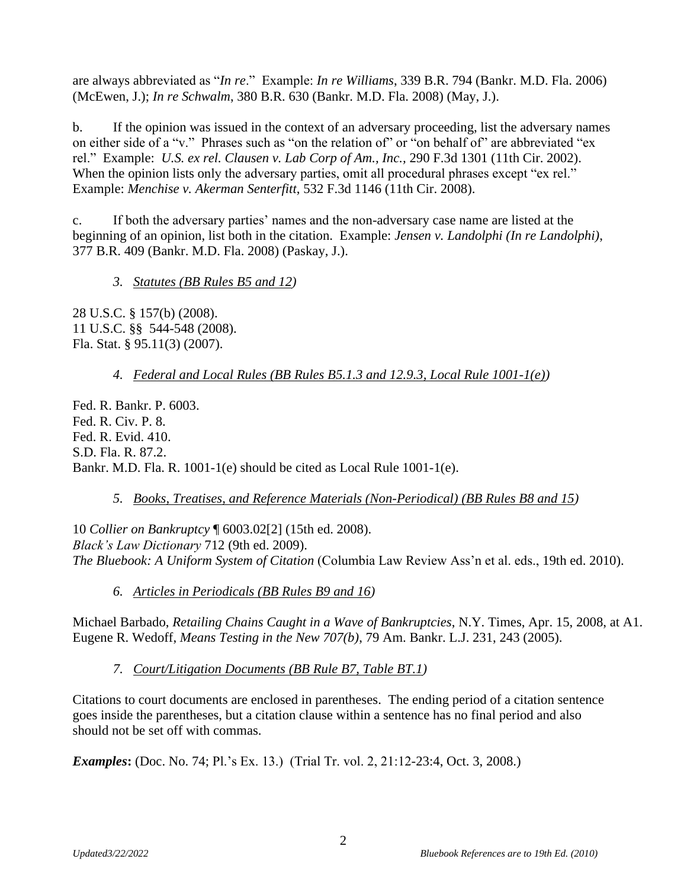are always abbreviated as "*In re*." Example: *In re Williams*, 339 B.R. 794 (Bankr. M.D. Fla. 2006) (McEwen, J.); *In re Schwalm*, 380 B.R. 630 (Bankr. M.D. Fla. 2008) (May, J.).

b. If the opinion was issued in the context of an adversary proceeding, list the adversary names on either side of a "v." Phrases such as "on the relation of" or "on behalf of" are abbreviated "ex rel." Example: *U.S. ex rel. Clausen v. Lab Corp of Am., Inc.,* 290 F.3d 1301 (11th Cir. 2002). When the opinion lists only the adversary parties, omit all procedural phrases except "ex rel." Example: *Menchise v. Akerman Senterfitt*, 532 F.3d 1146 (11th Cir. 2008).

c. If both the adversary parties' names and the non-adversary case name are listed at the beginning of an opinion, list both in the citation. Example: *Jensen v. Landolphi (In re Landolphi)*, 377 B.R. 409 (Bankr. M.D. Fla. 2008) (Paskay, J.).

*3. Statutes (BB Rules B5 and 12)*

28 U.S.C. § 157(b) (2008). 11 U.S.C. §§ 544-548 (2008). Fla. Stat. § 95.11(3) (2007).

*4. Federal and Local Rules (BB Rules B5.1.3 and 12.9.3, Local Rule 1001-1(e))*

Fed. R. Bankr. P. 6003. Fed. R. Civ. P. 8. Fed. R. Evid. 410. S.D. Fla. R. 87.2. Bankr. M.D. Fla. R. 1001-1(e) should be cited as Local Rule 1001-1(e).

# *5. Books, Treatises, and Reference Materials (Non-Periodical) (BB Rules B8 and 15)*

10 *Collier on Bankruptcy* ¶ 6003.02[2] (15th ed. 2008). *Black's Law Dictionary* 712 (9th ed. 2009). *The Bluebook: A Uniform System of Citation* (Columbia Law Review Ass'n et al. eds., 19th ed. 2010).

*6. Articles in Periodicals (BB Rules B9 and 16)*

Michael Barbado, *Retailing Chains Caught in a Wave of Bankruptcies*, N.Y. Times, Apr. 15, 2008, at A1. Eugene R. Wedoff, *Means Testing in the New 707(b)*, 79 Am. Bankr. L.J. 231, 243 (2005).

*7. Court/Litigation Documents (BB Rule B7, Table BT.1)*

Citations to court documents are enclosed in parentheses. The ending period of a citation sentence goes inside the parentheses, but a citation clause within a sentence has no final period and also should not be set off with commas.

*Examples***:** (Doc. No. 74; Pl.'s Ex. 13.) (Trial Tr. vol. 2, 21:12-23:4, Oct. 3, 2008.)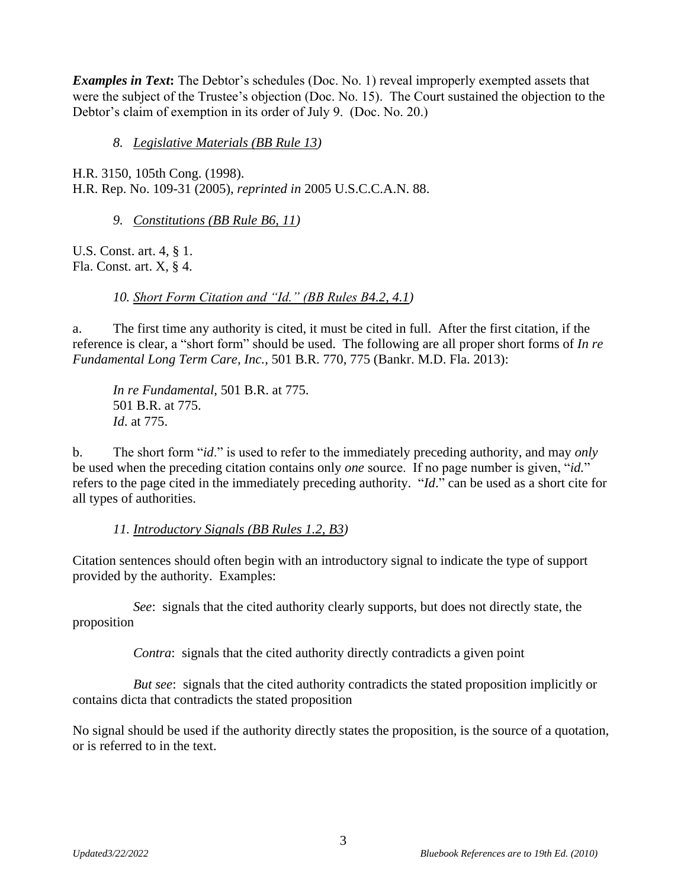*Examples in Text***:** The Debtor's schedules (Doc. No. 1) reveal improperly exempted assets that were the subject of the Trustee's objection (Doc. No. 15). The Court sustained the objection to the Debtor's claim of exemption in its order of July 9. (Doc. No. 20.)

*8. Legislative Materials (BB Rule 13)*

H.R. 3150, 105th Cong. (1998). H.R. Rep. No. 109-31 (2005), *reprinted in* 2005 U.S.C.C.A.N. 88.

*9. Constitutions (BB Rule B6, 11)*

U.S. Const. art. 4, § 1. Fla. Const. art. X, § 4.

*10. Short Form Citation and "Id." (BB Rules B4.2, 4.1)*

a. The first time any authority is cited, it must be cited in full. After the first citation, if the reference is clear, a "short form" should be used. The following are all proper short forms of *In re Fundamental Long Term Care, Inc.*, 501 B.R. 770, 775 (Bankr. M.D. Fla. 2013):

*In re Fundamental*, 501 B.R. at 775. 501 B.R. at 775. *Id*. at 775.

b. The short form "*id*." is used to refer to the immediately preceding authority, and may *only* be used when the preceding citation contains only *one* source. If no page number is given, "*id.*" refers to the page cited in the immediately preceding authority. "*Id*." can be used as a short cite for all types of authorities.

*11. Introductory Signals (BB Rules 1.2, B3)*

Citation sentences should often begin with an introductory signal to indicate the type of support provided by the authority. Examples:

*See*: signals that the cited authority clearly supports, but does not directly state, the proposition

*Contra*: signals that the cited authority directly contradicts a given point

*But see*: signals that the cited authority contradicts the stated proposition implicitly or contains dicta that contradicts the stated proposition

No signal should be used if the authority directly states the proposition, is the source of a quotation, or is referred to in the text.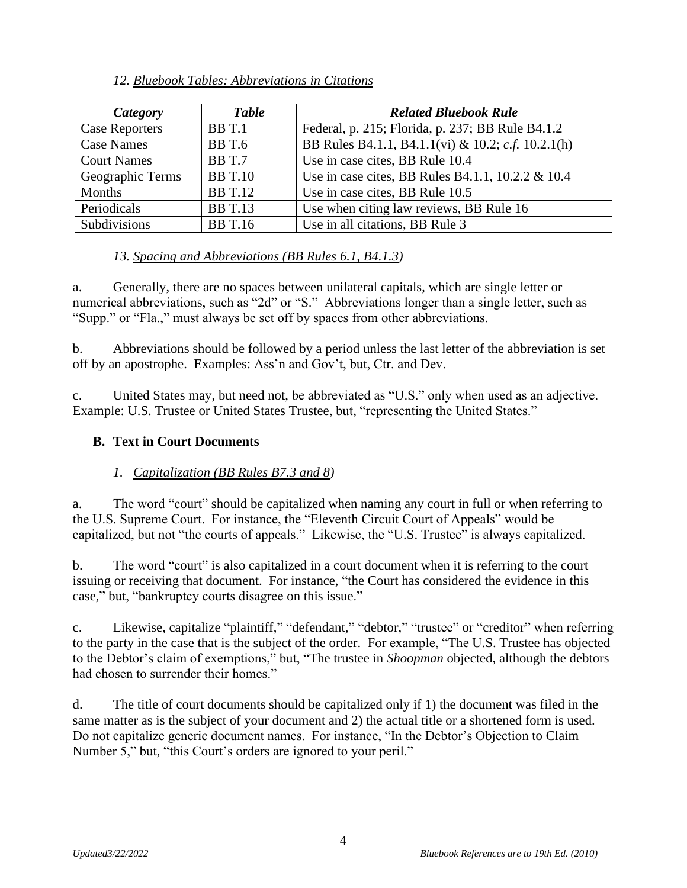# *12. Bluebook Tables: Abbreviations in Citations*

| Category              | <b>Table</b>   | <b>Related Bluebook Rule</b>                       |
|-----------------------|----------------|----------------------------------------------------|
| <b>Case Reporters</b> | BBT.1          | Federal, p. 215; Florida, p. 237; BB Rule B4.1.2   |
| <b>Case Names</b>     | <b>BB</b> T.6  | BB Rules B4.1.1, B4.1.1(vi) & 10.2; c.f. 10.2.1(h) |
| <b>Court Names</b>    | <b>BB</b> T.7  | Use in case cites, BB Rule 10.4                    |
| Geographic Terms      | <b>BB</b> T.10 | Use in case cites, BB Rules B4.1.1, 10.2.2 & 10.4  |
| Months                | <b>BB</b> T.12 | Use in case cites, BB Rule 10.5                    |
| Periodicals           | <b>BB</b> T.13 | Use when citing law reviews, BB Rule 16            |
| Subdivisions          | <b>BB</b> T.16 | Use in all citations, BB Rule 3                    |

# *13. Spacing and Abbreviations (BB Rules 6.1, B4.1.3)*

a. Generally, there are no spaces between unilateral capitals, which are single letter or numerical abbreviations, such as "2d" or "S." Abbreviations longer than a single letter, such as "Supp." or "Fla.," must always be set off by spaces from other abbreviations.

b. Abbreviations should be followed by a period unless the last letter of the abbreviation is set off by an apostrophe. Examples: Ass'n and Gov't, but, Ctr. and Dev.

c. United States may, but need not, be abbreviated as "U.S." only when used as an adjective. Example: U.S. Trustee or United States Trustee, but, "representing the United States."

# <span id="page-3-0"></span>**B. Text in Court Documents**

# *1. Capitalization (BB Rules B7.3 and 8)*

a. The word "court" should be capitalized when naming any court in full or when referring to the U.S. Supreme Court. For instance, the "Eleventh Circuit Court of Appeals" would be capitalized, but not "the courts of appeals." Likewise, the "U.S. Trustee" is always capitalized.

b. The word "court" is also capitalized in a court document when it is referring to the court issuing or receiving that document. For instance, "the Court has considered the evidence in this case," but, "bankruptcy courts disagree on this issue."

c. Likewise, capitalize "plaintiff," "defendant," "debtor," "trustee" or "creditor" when referring to the party in the case that is the subject of the order. For example, "The U.S. Trustee has objected to the Debtor's claim of exemptions," but, "The trustee in *Shoopman* objected, although the debtors had chosen to surrender their homes."

d. The title of court documents should be capitalized only if 1) the document was filed in the same matter as is the subject of your document and 2) the actual title or a shortened form is used. Do not capitalize generic document names. For instance, "In the Debtor's Objection to Claim Number 5," but, "this Court's orders are ignored to your peril."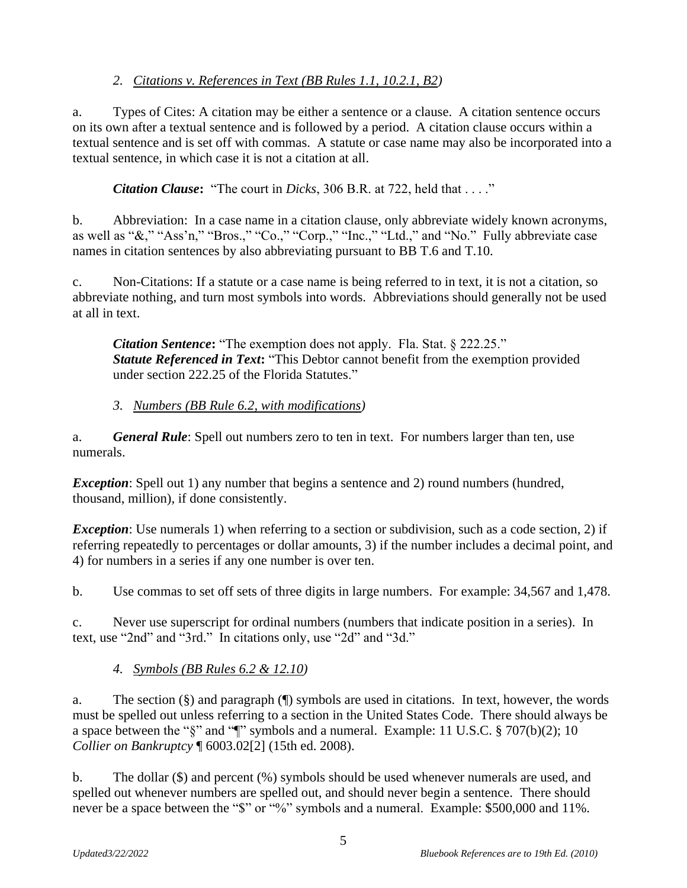# *2. Citations v. References in Text (BB Rules 1.1, 10.2.1, B2)*

a. Types of Cites: A citation may be either a sentence or a clause. A citation sentence occurs on its own after a textual sentence and is followed by a period. A citation clause occurs within a textual sentence and is set off with commas. A statute or case name may also be incorporated into a textual sentence, in which case it is not a citation at all.

*Citation Clause***:** "The court in *Dicks*, 306 B.R. at 722, held that . . . ."

b. Abbreviation: In a case name in a citation clause, only abbreviate widely known acronyms, as well as "&," "Ass'n," "Bros.," "Co.," "Corp.," "Inc.," "Ltd.," and "No." Fully abbreviate case names in citation sentences by also abbreviating pursuant to BB T.6 and T.10.

c. Non-Citations: If a statute or a case name is being referred to in text, it is not a citation, so abbreviate nothing, and turn most symbols into words. Abbreviations should generally not be used at all in text.

*Citation Sentence***:** "The exemption does not apply. Fla. Stat. § 222.25." **Statute Referenced in Text:** "This Debtor cannot benefit from the exemption provided under section 222.25 of the Florida Statutes."

# *3. Numbers (BB Rule 6.2, with modifications)*

a. *General Rule*: Spell out numbers zero to ten in text. For numbers larger than ten, use numerals.

*Exception*: Spell out 1) any number that begins a sentence and 2) round numbers (hundred, thousand, million), if done consistently.

*Exception*: Use numerals 1) when referring to a section or subdivision, such as a code section, 2) if referring repeatedly to percentages or dollar amounts, 3) if the number includes a decimal point, and 4) for numbers in a series if any one number is over ten.

b. Use commas to set off sets of three digits in large numbers. For example: 34,567 and 1,478.

c. Never use superscript for ordinal numbers (numbers that indicate position in a series). In text, use "2nd" and "3rd." In citations only, use "2d" and "3d."

# *4. Symbols (BB Rules 6.2 & 12.10)*

a. The section (§) and paragraph (¶) symbols are used in citations. In text, however, the words must be spelled out unless referring to a section in the United States Code. There should always be a space between the "§" and "¶" symbols and a numeral. Example: 11 U.S.C. § 707(b)(2); 10 *Collier on Bankruptcy* ¶ 6003.02[2] (15th ed. 2008).

b. The dollar (\$) and percent (%) symbols should be used whenever numerals are used, and spelled out whenever numbers are spelled out, and should never begin a sentence. There should never be a space between the "\$" or "%" symbols and a numeral. Example: \$500,000 and 11%.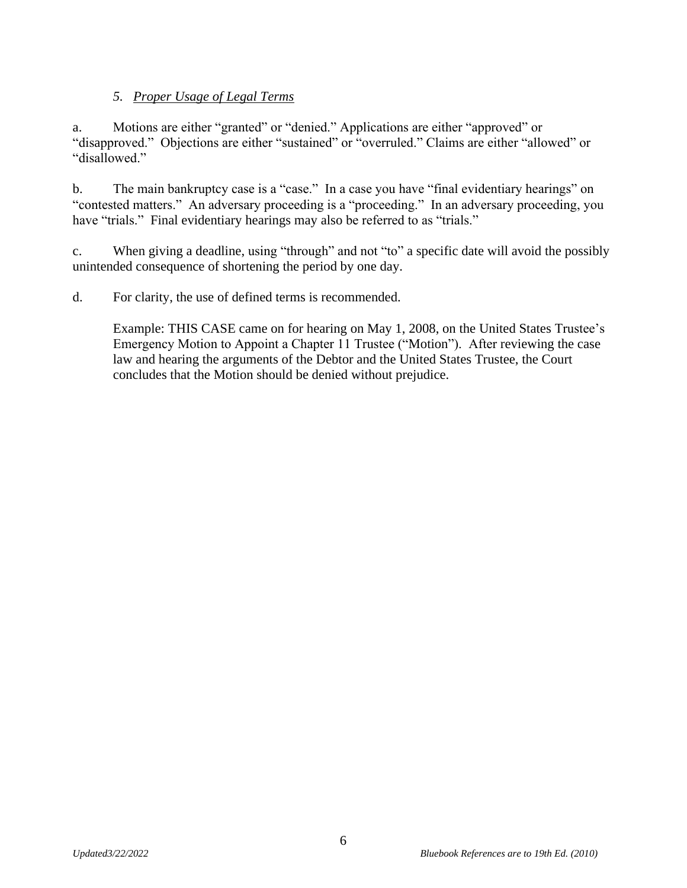# *5. Proper Usage of Legal Terms*

a. Motions are either "granted" or "denied." Applications are either "approved" or "disapproved." Objections are either "sustained" or "overruled." Claims are either "allowed" or "disallowed."

b. The main bankruptcy case is a "case." In a case you have "final evidentiary hearings" on "contested matters." An adversary proceeding is a "proceeding." In an adversary proceeding, you have "trials." Final evidentiary hearings may also be referred to as "trials."

c. When giving a deadline, using "through" and not "to" a specific date will avoid the possibly unintended consequence of shortening the period by one day.

d. For clarity, the use of defined terms is recommended.

<span id="page-5-0"></span>Example: THIS CASE came on for hearing on May 1, 2008, on the United States Trustee's Emergency Motion to Appoint a Chapter 11 Trustee ("Motion"). After reviewing the case law and hearing the arguments of the Debtor and the United States Trustee, the Court concludes that the Motion should be denied without prejudice.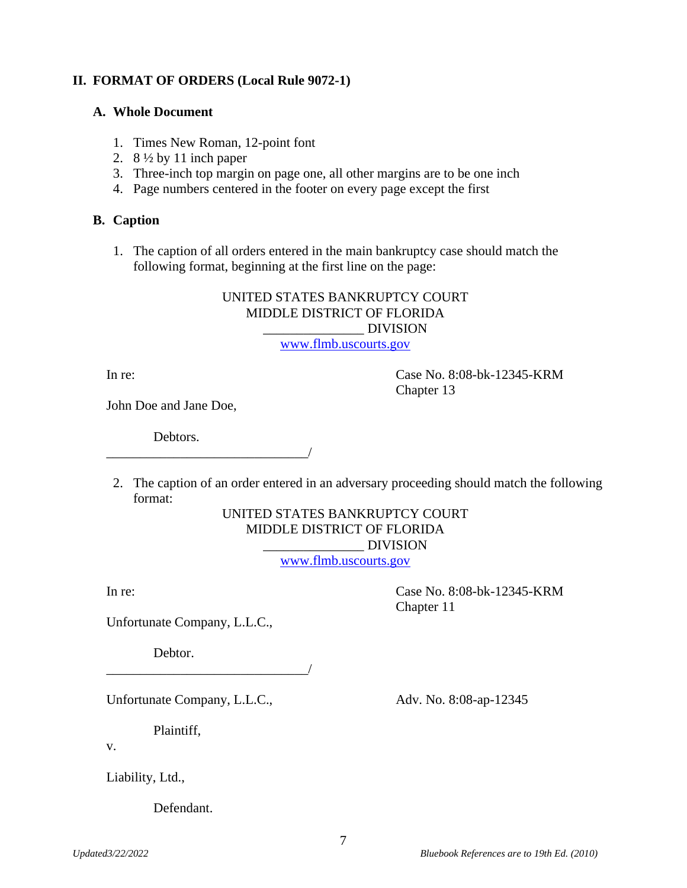## **II. FORMAT OF ORDERS (Local Rule 9072-1)**

#### **A. Whole Document**

- 1. Times New Roman, 12-point font
- 2.  $8\frac{1}{2}$  by 11 inch paper
- 3. Three-inch top margin on page one, all other margins are to be one inch
- 4. Page numbers centered in the footer on every page except the first

#### **B. Caption**

1. The caption of all orders entered in the main bankruptcy case should match the following format, beginning at the first line on the page:

# UNITED STATES BANKRUPTCY COURT MIDDLE DISTRICT OF FLORIDA \_\_\_\_\_\_\_\_\_\_\_\_\_\_\_ DIVISION

[www.flmb.uscourts.gov](http://www.flmb.uscourts.gov/)

In re: Case No. 8:08-bk-12345-KRM Chapter 13

John Doe and Jane Doe,

Debtors.

\_\_\_\_\_\_\_\_\_\_\_\_\_\_\_\_\_\_\_\_\_\_\_\_\_\_\_\_\_\_/

2. The caption of an order entered in an adversary proceeding should match the following format:

## UNITED STATES BANKRUPTCY COURT MIDDLE DISTRICT OF FLORIDA  $\overline{\text{DIVISION}}$

[www.flmb.uscourts.gov](http://www.flmb.uscourts.gov/)

In re: Case No. 8:08-bk-12345-KRM Chapter 11

Unfortunate Company, L.L.C.,

Debtor.

Unfortunate Company, L.L.C., Adv. No. 8:08-ap-12345

\_\_\_\_\_\_\_\_\_\_\_\_\_\_\_\_\_\_\_\_\_\_\_\_\_\_\_\_\_\_/

Plaintiff,

v.

Liability, Ltd.,

Defendant.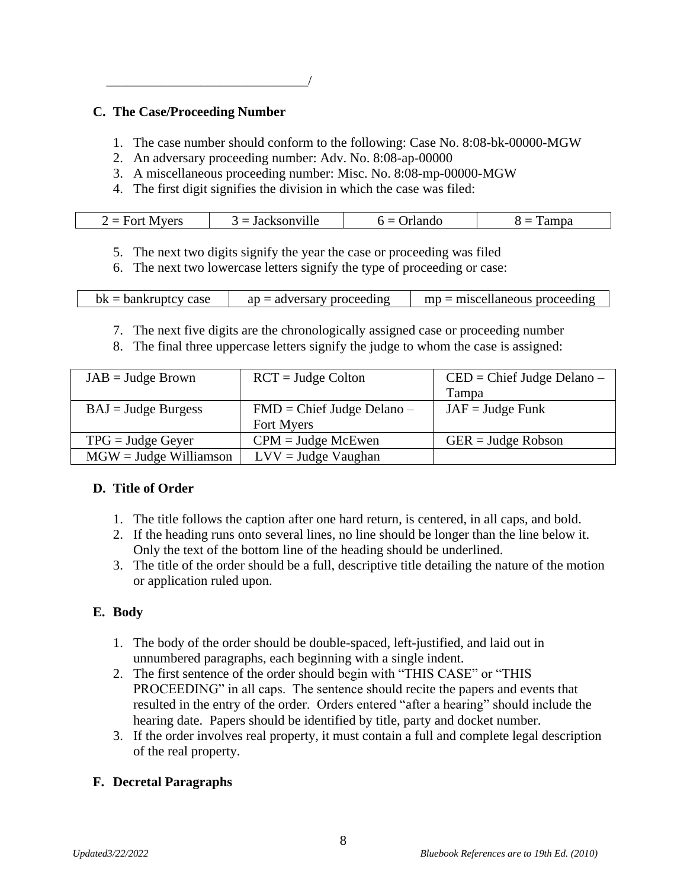# **C. The Case/Proceeding Number**

\_\_\_\_\_\_\_\_\_\_\_\_\_\_\_\_\_\_\_\_\_\_\_\_\_\_\_\_\_\_/

- 1. The case number should conform to the following: Case No. 8:08-bk-00000-MGW
- 2. An adversary proceeding number: Adv. No. 8:08-ap-00000
- 3. A miscellaneous proceeding number: Misc. No. 8:08-mp-00000-MGW
- 4. The first digit signifies the division in which the case was filed:

| $\bullet$ $\bullet$ $\bullet$<br>--<br>.<br>ше<br>_<br>_ _ _ _<br>_______ |  |
|---------------------------------------------------------------------------|--|
|---------------------------------------------------------------------------|--|

- 5. The next two digits signify the year the case or proceeding was filed
- 6. The next two lowercase letters signify the type of proceeding or case:

| $bk =$ bankruptcy case | $ap = adversary$ proceeding | $mp =$ miscellaneous proceeding |
|------------------------|-----------------------------|---------------------------------|
|------------------------|-----------------------------|---------------------------------|

- 7. The next five digits are the chronologically assigned case or proceeding number
- 8. The final three uppercase letters signify the judge to whom the case is assigned:

| $JAB = Judge Brown$        | $RCT = Judge Colton$               | $\text{CED} = \text{Chief Judge Delano} -$ |
|----------------------------|------------------------------------|--------------------------------------------|
|                            |                                    | Tampa                                      |
| $BAJ = Judge Burgess$      | $FMD = Chief Judge Delano -$       | $JAF = Judge$ Funk                         |
|                            | Fort Myers                         |                                            |
| $TPG = \text{Judge Geyer}$ | $CPM = \text{Judge} \text{McEwen}$ | $GER = Judge Robson$                       |
| $MGW = Judge$ Williamson   | $LVV =$ Judge Vaughan              |                                            |

# **D. Title of Order**

- 1. The title follows the caption after one hard return, is centered, in all caps, and bold.
- 2. If the heading runs onto several lines, no line should be longer than the line below it. Only the text of the bottom line of the heading should be underlined.
- 3. The title of the order should be a full, descriptive title detailing the nature of the motion or application ruled upon.

# **E. Body**

- 1. The body of the order should be double-spaced, left-justified, and laid out in unnumbered paragraphs, each beginning with a single indent.
- 2. The first sentence of the order should begin with "THIS CASE" or "THIS PROCEEDING" in all caps. The sentence should recite the papers and events that resulted in the entry of the order. Orders entered "after a hearing" should include the hearing date. Papers should be identified by title, party and docket number.
- 3. If the order involves real property, it must contain a full and complete legal description of the real property.

# **F. Decretal Paragraphs**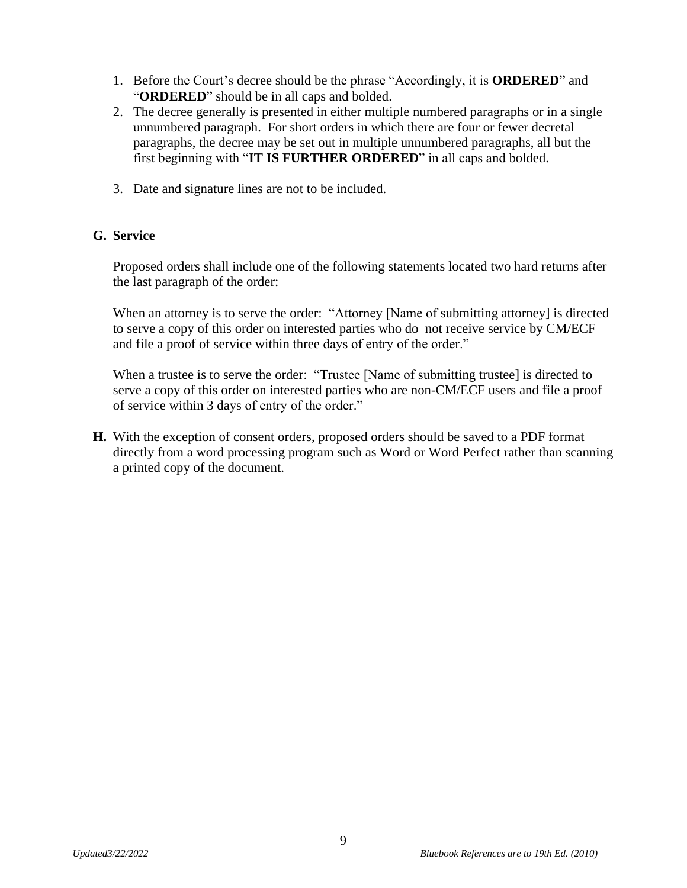- 1. Before the Court's decree should be the phrase "Accordingly, it is **ORDERED**" and "**ORDERED**" should be in all caps and bolded.
- 2. The decree generally is presented in either multiple numbered paragraphs or in a single unnumbered paragraph. For short orders in which there are four or fewer decretal paragraphs, the decree may be set out in multiple unnumbered paragraphs, all but the first beginning with "**IT IS FURTHER ORDERED**" in all caps and bolded.
- 3. Date and signature lines are not to be included.

# **G. Service**

Proposed orders shall include one of the following statements located two hard returns after the last paragraph of the order:

When an attorney is to serve the order: "Attorney [Name of submitting attorney] is directed to serve a copy of this order on interested parties who do not receive service by CM/ECF and file a proof of service within three days of entry of the order."

When a trustee is to serve the order: "Trustee [Name of submitting trustee] is directed to serve a copy of this order on interested parties who are non-CM/ECF users and file a proof of service within 3 days of entry of the order."

**H.** With the exception of consent orders, proposed orders should be saved to a PDF format directly from a word processing program such as Word or Word Perfect rather than scanning a printed copy of the document.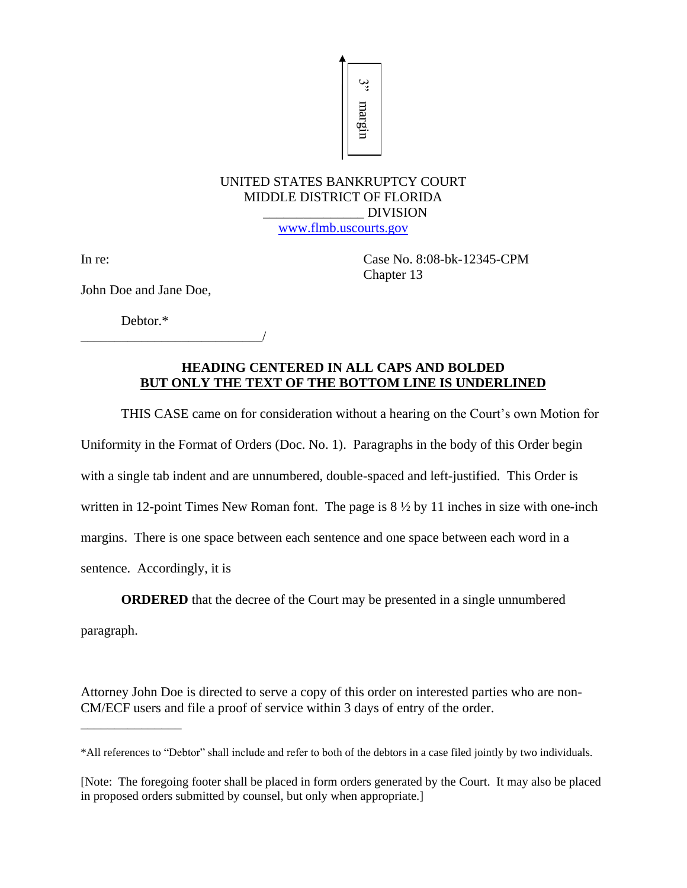

# UNITED STATES BANKRUPTCY COURT MIDDLE DISTRICT OF FLORIDA \_\_\_\_\_\_\_\_\_\_\_\_\_\_\_ DIVISION

[www.flmb.uscourts.gov](http://www.flmb.uscourts.gov/)

In re: Case No. 8:08-bk-12345-CPM Chapter 13

John Doe and Jane Doe,

Debtor.\*

\_\_\_\_\_\_\_\_\_\_\_\_\_\_\_\_\_\_\_\_\_\_\_\_\_\_\_/

## **HEADING CENTERED IN ALL CAPS AND BOLDED BUT ONLY THE TEXT OF THE BOTTOM LINE IS UNDERLINED**

THIS CASE came on for consideration without a hearing on the Court's own Motion for

Uniformity in the Format of Orders (Doc. No. 1). Paragraphs in the body of this Order begin

with a single tab indent and are unnumbered, double-spaced and left-justified. This Order is

written in 12-point Times New Roman font. The page is  $8\frac{1}{2}$  by 11 inches in size with one-inch

margins. There is one space between each sentence and one space between each word in a

sentence. Accordingly, it is

**ORDERED** that the decree of the Court may be presented in a single unnumbered

paragraph.

\_\_\_\_\_\_\_\_\_\_\_\_\_\_\_

Attorney John Doe is directed to serve a copy of this order on interested parties who are non-CM/ECF users and file a proof of service within 3 days of entry of the order. IMPED STATES BANKRUPTCY<br>
IN THED STATES BANKRUPTCY<br>
IN THE EXECT OF FLORI<br>
IDVISION CENTRICT OF FLORI<br>
John Doe and Jane Doe,<br>
Debtor.\*<br>
IDVISION CENTRRED IN ALL CAPS A<br>
BUT ONLY THE TEXT OF THE BOTTOM LIN<br>
THIS CASE came

<sup>\*</sup>All references to "Debtor" shall include and refer to both of the debtors in a case filed jointly by two individuals.

<sup>[</sup>Note: The foregoing footer shall be placed in form orders generated by the Court. It may also be placed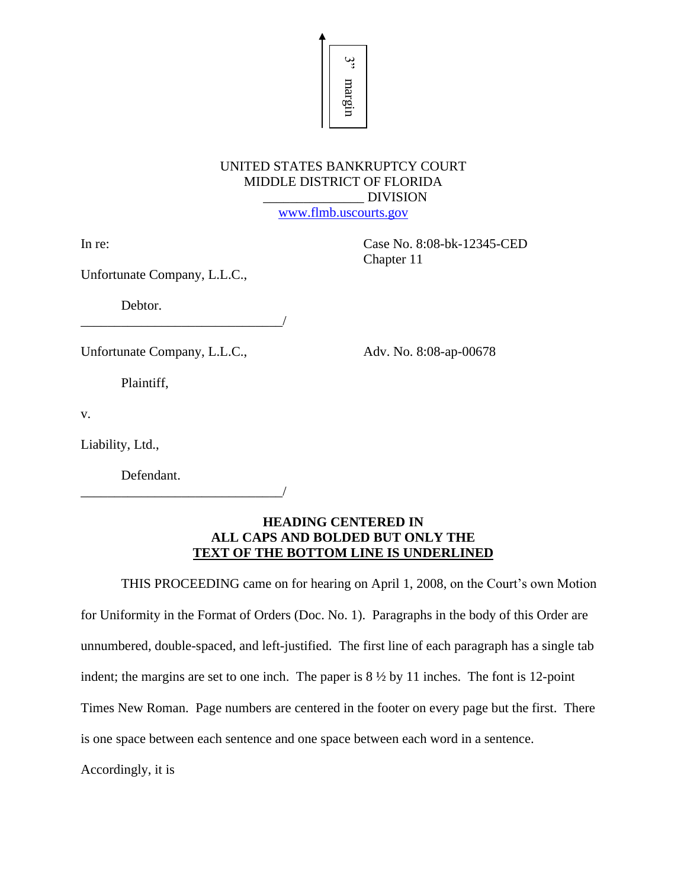# UNITED STATES BANKRUPTCY COURT MIDDLE DISTRICT OF FLORIDA \_\_\_\_\_\_\_\_\_\_\_\_\_\_\_ DIVISION

ري<br>ت

margin

[www.flmb.uscourts.gov](http://www.flmb.uscourts.gov/)

In re: Case No. 8:08-bk-12345-CED Chapter 11

Unfortunate Company, L.L.C.,

Debtor.

Unfortunate Company, L.L.C., Adv. No. 8:08-ap-00678

\_\_\_\_\_\_\_\_\_\_\_\_\_\_\_\_\_\_\_\_\_\_\_\_\_\_\_\_\_\_/

Plaintiff,

v.

Liability, Ltd.,

Defendant.

\_\_\_\_\_\_\_\_\_\_\_\_\_\_\_\_\_\_\_\_\_\_\_\_\_\_\_\_\_\_/

## **HEADING CENTERED IN ALL CAPS AND BOLDED BUT ONLY THE TEXT OF THE BOTTOM LINE IS UNDERLINED**

THIS PROCEEDING came on for hearing on April 1, 2008, on the Court's own Motion for Uniformity in the Format of Orders (Doc. No. 1). Paragraphs in the body of this Order are unnumbered, double-spaced, and left-justified. The first line of each paragraph has a single tab indent; the margins are set to one inch. The paper is 8 ½ by 11 inches. The font is 12-point Times New Roman. Page numbers are centered in the footer on every page but the first. There is one space between each sentence and one space between each word in a sentence.

Accordingly, it is